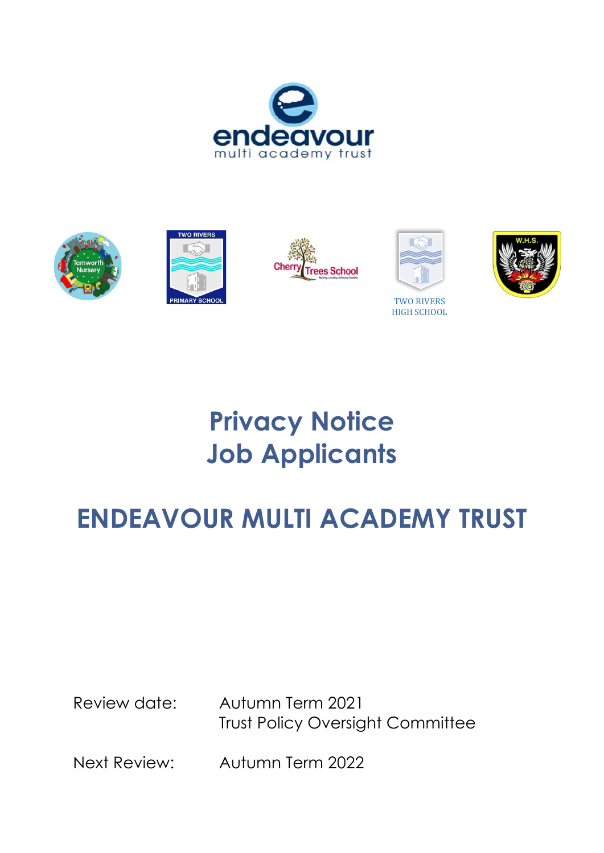









TWO RIVERS HIGH SCHOOL



# **Privacy Notice Job Applicants**

# **ENDEAVOUR MULTI ACADEMY TRUST**

Review date: Autumn Term 2021 Trust Policy Oversight Committee

Next Review: Autumn Term 2022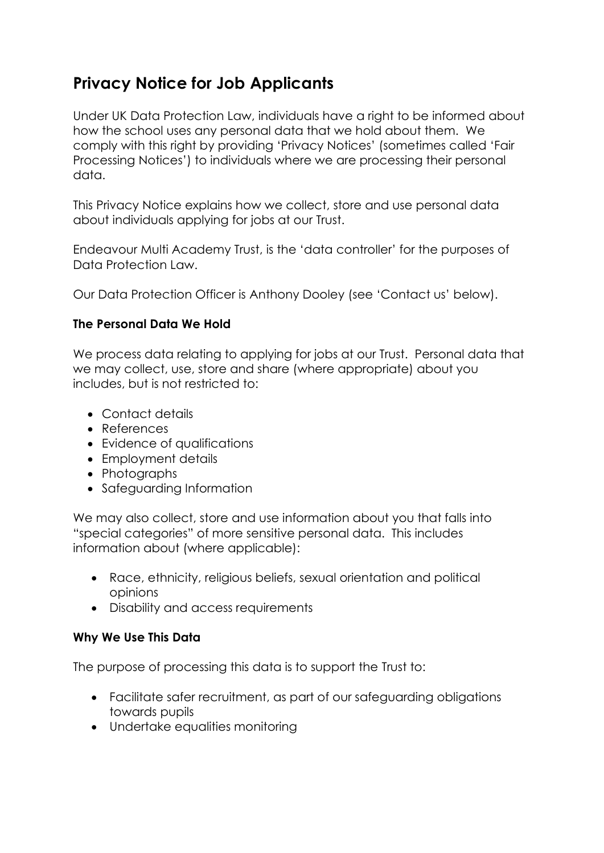# **Privacy Notice for Job Applicants**

Under UK Data Protection Law, individuals have a right to be informed about how the school uses any personal data that we hold about them. We comply with this right by providing 'Privacy Notices' (sometimes called 'Fair Processing Notices') to individuals where we are processing their personal data.

This Privacy Notice explains how we collect, store and use personal data about individuals applying for jobs at our Trust.

Endeavour Multi Academy Trust, is the 'data controller' for the purposes of Data Protection Law.

Our Data Protection Officer is Anthony Dooley (see 'Contact us' below).

## **The Personal Data We Hold**

We process data relating to applying for jobs at our Trust. Personal data that we may collect, use, store and share (where appropriate) about you includes, but is not restricted to:

- Contact details
- References
- Evidence of qualifications
- Employment details
- Photographs
- Safeguarding Information

We may also collect, store and use information about you that falls into "special categories" of more sensitive personal data. This includes information about (where applicable):

- Race, ethnicity, religious beliefs, sexual orientation and political opinions
- Disability and access requirements

## **Why We Use This Data**

The purpose of processing this data is to support the Trust to:

- Facilitate safer recruitment, as part of our safeguarding obligations towards pupils
- Undertake equalities monitoring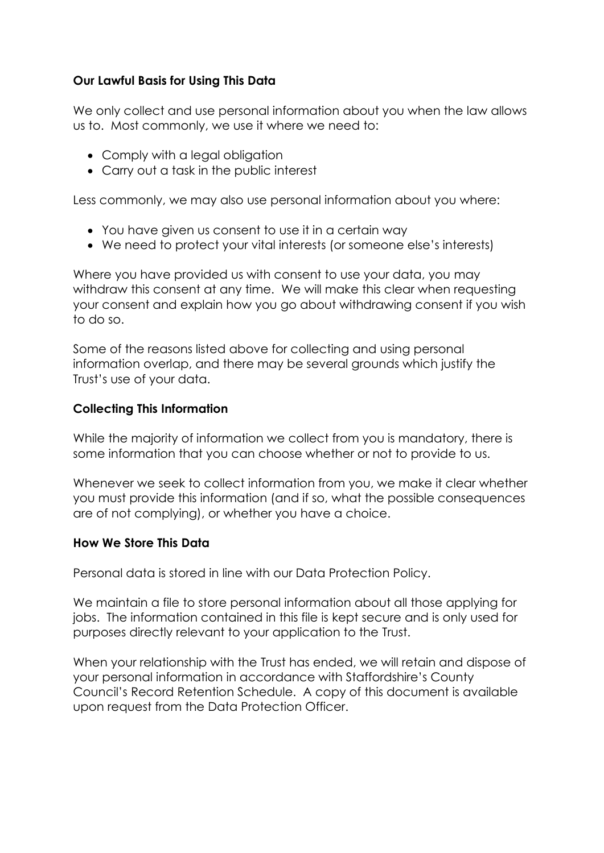#### **Our Lawful Basis for Using This Data**

We only collect and use personal information about you when the law allows us to. Most commonly, we use it where we need to:

- Comply with a legal obligation
- Carry out a task in the public interest

Less commonly, we may also use personal information about you where:

- You have given us consent to use it in a certain way
- We need to protect your vital interests (or someone else's interests)

Where you have provided us with consent to use your data, you may withdraw this consent at any time. We will make this clear when requesting your consent and explain how you go about withdrawing consent if you wish to do so.

Some of the reasons listed above for collecting and using personal information overlap, and there may be several grounds which justify the Trust's use of your data.

#### **Collecting This Information**

While the majority of information we collect from you is mandatory, there is some information that you can choose whether or not to provide to us.

Whenever we seek to collect information from you, we make it clear whether you must provide this information (and if so, what the possible consequences are of not complying), or whether you have a choice.

#### **How We Store This Data**

Personal data is stored in line with our Data Protection Policy.

We maintain a file to store personal information about all those applying for jobs. The information contained in this file is kept secure and is only used for purposes directly relevant to your application to the Trust.

When your relationship with the Trust has ended, we will retain and dispose of your personal information in accordance with Staffordshire's County Council's Record Retention Schedule. A copy of this document is available upon request from the Data Protection Officer.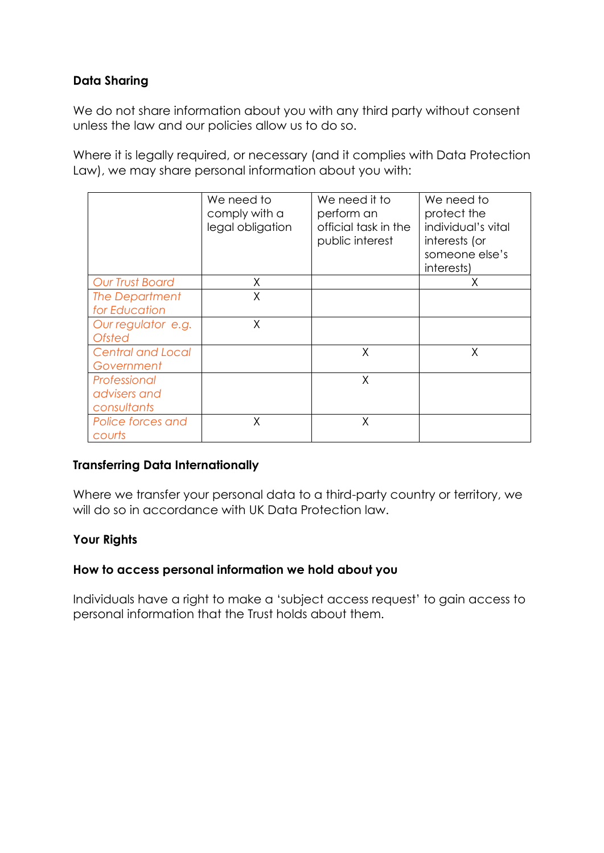## **Data Sharing**

We do not share information about you with any third party without consent unless the law and our policies allow us to do so.

Where it is legally required, or necessary (and it complies with Data Protection Law), we may share personal information about you with:

|                                     | We need to<br>comply with a<br>legal obligation | We need it to<br>perform an<br>official task in the<br>public interest | We need to<br>protect the<br>individual's vital<br>interests (or<br>someone else's<br>interests) |
|-------------------------------------|-------------------------------------------------|------------------------------------------------------------------------|--------------------------------------------------------------------------------------------------|
| <b>Our Trust Board</b>              | X                                               |                                                                        | X                                                                                                |
| The Department<br>for Education     | X                                               |                                                                        |                                                                                                  |
|                                     |                                                 |                                                                        |                                                                                                  |
| Our regulator e.g.<br><b>Ofsted</b> | X                                               |                                                                        |                                                                                                  |
| <b>Central and Local</b>            |                                                 | X                                                                      | X                                                                                                |
| Government                          |                                                 |                                                                        |                                                                                                  |
| Professional                        |                                                 | X                                                                      |                                                                                                  |
| advisers and                        |                                                 |                                                                        |                                                                                                  |
| consultants                         |                                                 |                                                                        |                                                                                                  |
| Police forces and<br>courts         | Χ                                               | X                                                                      |                                                                                                  |

## **Transferring Data Internationally**

Where we transfer your personal data to a third-party country or territory, we will do so in accordance with UK Data Protection law.

## **Your Rights**

#### **How to access personal information we hold about you**

Individuals have a right to make a 'subject access request' to gain access to personal information that the Trust holds about them.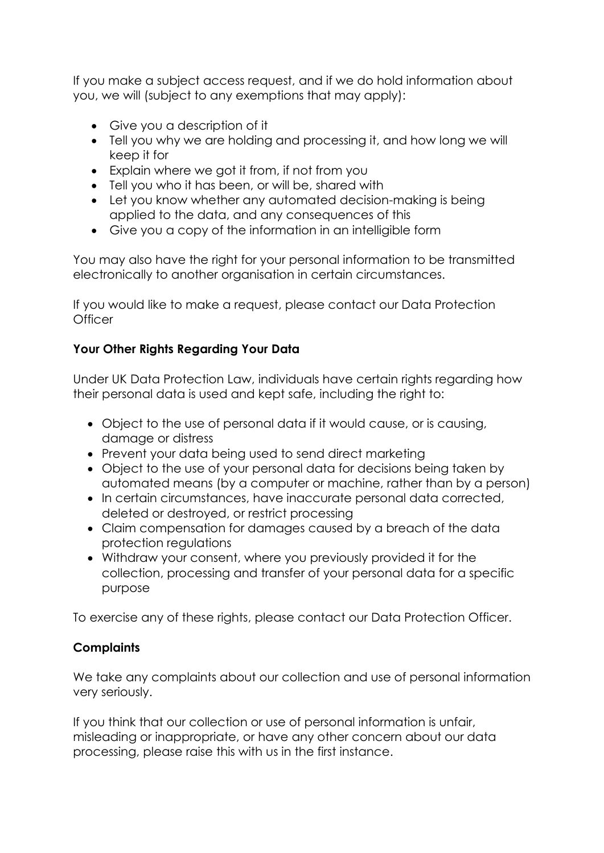If you make a subject access request, and if we do hold information about you, we will (subject to any exemptions that may apply):

- Give you a description of it
- Tell you why we are holding and processing it, and how long we will keep it for
- Explain where we got it from, if not from you
- Tell you who it has been, or will be, shared with
- Let you know whether any automated decision-making is being applied to the data, and any consequences of this
- Give you a copy of the information in an intelligible form

You may also have the right for your personal information to be transmitted electronically to another organisation in certain circumstances.

If you would like to make a request, please contact our Data Protection **Officer** 

## **Your Other Rights Regarding Your Data**

Under UK Data Protection Law, individuals have certain rights regarding how their personal data is used and kept safe, including the right to:

- Object to the use of personal data if it would cause, or is causing, damage or distress
- Prevent your data being used to send direct marketing
- Object to the use of your personal data for decisions being taken by automated means (by a computer or machine, rather than by a person)
- In certain circumstances, have inaccurate personal data corrected, deleted or destroyed, or restrict processing
- Claim compensation for damages caused by a breach of the data protection regulations
- Withdraw your consent, where you previously provided it for the collection, processing and transfer of your personal data for a specific purpose

To exercise any of these rights, please contact our Data Protection Officer.

## **Complaints**

We take any complaints about our collection and use of personal information very seriously.

If you think that our collection or use of personal information is unfair, misleading or inappropriate, or have any other concern about our data processing, please raise this with us in the first instance.